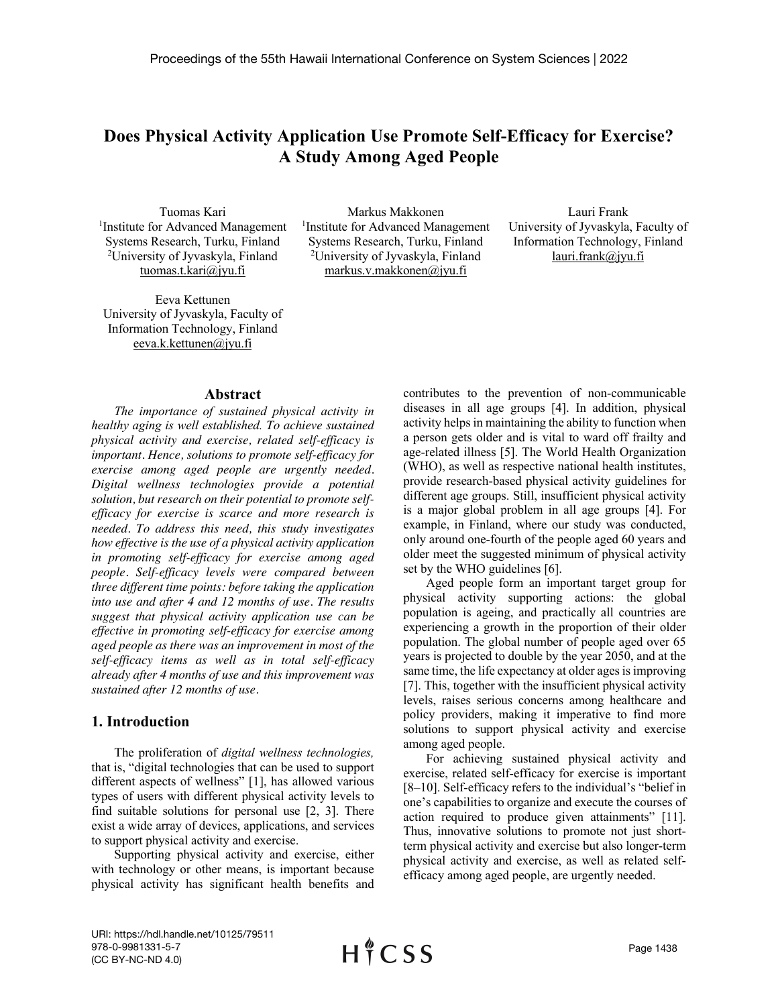# **Does Physical Activity Application Use Promote Self-Efficacy for Exercise? A Study Among Aged People**

Tuomas Kari 1 Institute for Advanced Management Systems Research, Turku, Finland 2 University of Jyvaskyla, Finland tuomas.t.kari@jyu.fi

Eeva Kettunen University of Jyvaskyla, Faculty of Information Technology, Finland eeva.k.kettunen@jyu.fi

#### **Abstract**

*The importance of sustained physical activity in healthy aging is well established. To achieve sustained physical activity and exercise, related self-efficacy is important. Hence, solutions to promote self-efficacy for exercise among aged people are urgently needed. Digital wellness technologies provide a potential solution, but research on their potential to promote selfefficacy for exercise is scarce and more research is needed. To address this need, this study investigates how effective is the use of a physical activity application in promoting self-efficacy for exercise among aged people. Self-efficacy levels were compared between three different time points: before taking the application into use and after 4 and 12 months of use. The results suggest that physical activity application use can be effective in promoting self-efficacy for exercise among aged people as there was an improvement in most of the self-efficacy items as well as in total self-efficacy already after 4 months of use and this improvement was sustained after 12 months of use.*

#### **1. Introduction**

The proliferation of *digital wellness technologies,* that is, "digital technologies that can be used to support different aspects of wellness" [1], has allowed various types of users with different physical activity levels to find suitable solutions for personal use [2, 3]. There exist a wide array of devices, applications, and services to support physical activity and exercise.

Supporting physical activity and exercise, either with technology or other means, is important because physical activity has significant health benefits and

Markus Makkonen 1 Institute for Advanced Management Systems Research, Turku, Finland 2 University of Jyvaskyla, Finland markus.v.makkonen@jyu.fi

Lauri Frank University of Jyvaskyla, Faculty of Information Technology, Finland lauri.frank@jyu.fi

contributes to the prevention of non-communicable diseases in all age groups [4]. In addition, physical activity helps in maintaining the ability to function when a person gets older and is vital to ward off frailty and age-related illness [5]. The World Health Organization (WHO), as well as respective national health institutes, provide research-based physical activity guidelines for different age groups. Still, insufficient physical activity is a major global problem in all age groups [4]. For example, in Finland, where our study was conducted, only around one-fourth of the people aged 60 years and older meet the suggested minimum of physical activity set by the WHO guidelines [6].

Aged people form an important target group for physical activity supporting actions: the global population is ageing, and practically all countries are experiencing a growth in the proportion of their older population. The global number of people aged over 65 years is projected to double by the year 2050, and at the same time, the life expectancy at older ages is improving [7]. This, together with the insufficient physical activity levels, raises serious concerns among healthcare and policy providers, making it imperative to find more solutions to support physical activity and exercise among aged people.

For achieving sustained physical activity and exercise, related self-efficacy for exercise is important [8–10]. Self-efficacy refers to the individual's "belief in one's capabilities to organize and execute the courses of action required to produce given attainments" [11]. Thus, innovative solutions to promote not just shortterm physical activity and exercise but also longer-term physical activity and exercise, as well as related selfefficacy among aged people, are urgently needed.

URI: https://hdl.handle.net/10125/79511 978-0-9981331-5-7 (CC BY-NC-ND 4.0)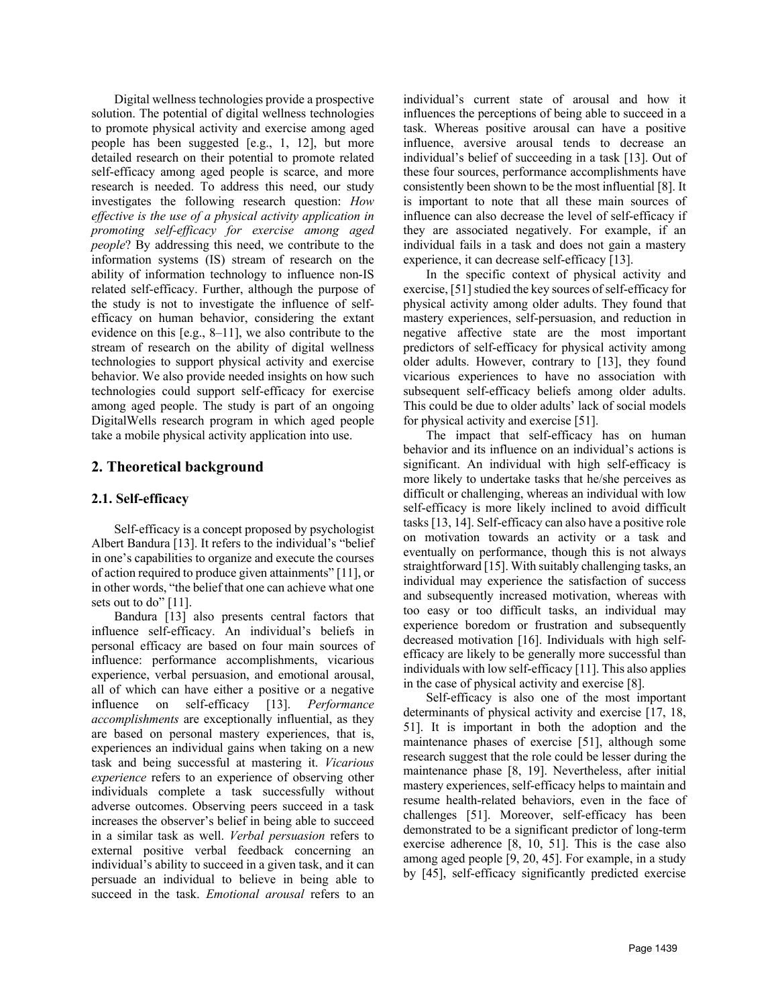Digital wellness technologies provide a prospective solution. The potential of digital wellness technologies to promote physical activity and exercise among aged people has been suggested [e.g., 1, 12], but more detailed research on their potential to promote related self-efficacy among aged people is scarce, and more research is needed. To address this need, our study investigates the following research question: *How effective is the use of a physical activity application in promoting self-efficacy for exercise among aged people*? By addressing this need, we contribute to the information systems (IS) stream of research on the ability of information technology to influence non-IS related self-efficacy. Further, although the purpose of the study is not to investigate the influence of selfefficacy on human behavior, considering the extant evidence on this [e.g., 8–11], we also contribute to the stream of research on the ability of digital wellness technologies to support physical activity and exercise behavior. We also provide needed insights on how such technologies could support self-efficacy for exercise among aged people. The study is part of an ongoing DigitalWells research program in which aged people take a mobile physical activity application into use.

# **2. Theoretical background**

### **2.1. Self-efficacy**

Self-efficacy is a concept proposed by psychologist Albert Bandura [13]. It refers to the individual's "belief in one's capabilities to organize and execute the courses of action required to produce given attainments" [11], or in other words, "the belief that one can achieve what one sets out to do" [11].

Bandura [13] also presents central factors that influence self-efficacy. An individual's beliefs in personal efficacy are based on four main sources of influence: performance accomplishments, vicarious experience, verbal persuasion, and emotional arousal, all of which can have either a positive or a negative influence on self-efficacy [13]. *Performance accomplishments* are exceptionally influential, as they are based on personal mastery experiences, that is, experiences an individual gains when taking on a new task and being successful at mastering it. *Vicarious experience* refers to an experience of observing other individuals complete a task successfully without adverse outcomes. Observing peers succeed in a task increases the observer's belief in being able to succeed in a similar task as well. *Verbal persuasion* refers to external positive verbal feedback concerning an individual's ability to succeed in a given task, and it can persuade an individual to believe in being able to succeed in the task. *Emotional arousal* refers to an

individual's current state of arousal and how it influences the perceptions of being able to succeed in a task. Whereas positive arousal can have a positive influence, aversive arousal tends to decrease an individual's belief of succeeding in a task [13]. Out of these four sources, performance accomplishments have consistently been shown to be the most influential [8]. It is important to note that all these main sources of influence can also decrease the level of self-efficacy if they are associated negatively. For example, if an individual fails in a task and does not gain a mastery experience, it can decrease self-efficacy [13].

In the specific context of physical activity and exercise, [51] studied the key sources of self-efficacy for physical activity among older adults. They found that mastery experiences, self-persuasion, and reduction in negative affective state are the most important predictors of self-efficacy for physical activity among older adults. However, contrary to [13], they found vicarious experiences to have no association with subsequent self-efficacy beliefs among older adults. This could be due to older adults' lack of social models for physical activity and exercise [51].

The impact that self-efficacy has on human behavior and its influence on an individual's actions is significant. An individual with high self-efficacy is more likely to undertake tasks that he/she perceives as difficult or challenging, whereas an individual with low self-efficacy is more likely inclined to avoid difficult tasks [13, 14]. Self-efficacy can also have a positive role on motivation towards an activity or a task and eventually on performance, though this is not always straightforward [15]. With suitably challenging tasks, an individual may experience the satisfaction of success and subsequently increased motivation, whereas with too easy or too difficult tasks, an individual may experience boredom or frustration and subsequently decreased motivation [16]. Individuals with high selfefficacy are likely to be generally more successful than individuals with low self-efficacy [11]. This also applies in the case of physical activity and exercise [8].

Self-efficacy is also one of the most important determinants of physical activity and exercise [17, 18, 51]. It is important in both the adoption and the maintenance phases of exercise [51], although some research suggest that the role could be lesser during the maintenance phase [8, 19]. Nevertheless, after initial mastery experiences, self-efficacy helps to maintain and resume health-related behaviors, even in the face of challenges [51]. Moreover, self-efficacy has been demonstrated to be a significant predictor of long-term exercise adherence [8, 10, 51]. This is the case also among aged people [9, 20, 45]. For example, in a study by [45], self-efficacy significantly predicted exercise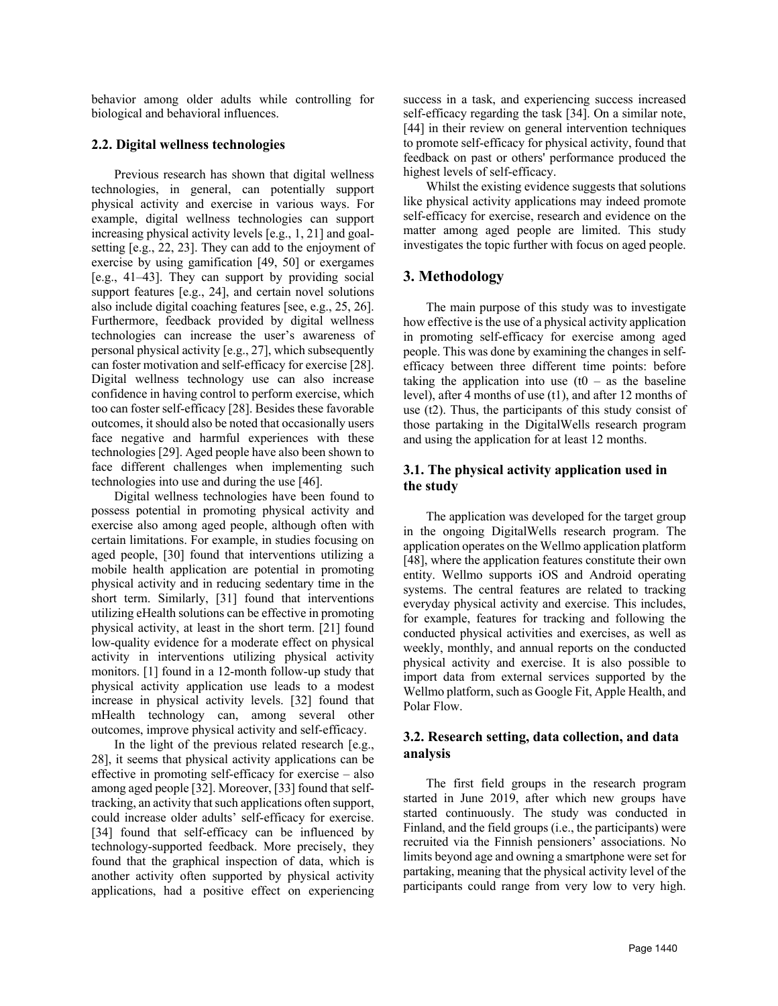behavior among older adults while controlling for biological and behavioral influences.

### **2.2. Digital wellness technologies**

Previous research has shown that digital wellness technologies, in general, can potentially support physical activity and exercise in various ways. For example, digital wellness technologies can support increasing physical activity levels [e.g., 1, 21] and goalsetting [e.g., 22, 23]. They can add to the enjoyment of exercise by using gamification [49, 50] or exergames [e.g., 41–43]. They can support by providing social support features [e.g., 24], and certain novel solutions also include digital coaching features [see, e.g., 25, 26]. Furthermore, feedback provided by digital wellness technologies can increase the user's awareness of personal physical activity [e.g., 27], which subsequently can foster motivation and self-efficacy for exercise [28]. Digital wellness technology use can also increase confidence in having control to perform exercise, which too can foster self-efficacy [28]. Besides these favorable outcomes, it should also be noted that occasionally users face negative and harmful experiences with these technologies [29]. Aged people have also been shown to face different challenges when implementing such technologies into use and during the use [46].

Digital wellness technologies have been found to possess potential in promoting physical activity and exercise also among aged people, although often with certain limitations. For example, in studies focusing on aged people, [30] found that interventions utilizing a mobile health application are potential in promoting physical activity and in reducing sedentary time in the short term. Similarly, [31] found that interventions utilizing eHealth solutions can be effective in promoting physical activity, at least in the short term. [21] found low-quality evidence for a moderate effect on physical activity in interventions utilizing physical activity monitors. [1] found in a 12-month follow-up study that physical activity application use leads to a modest increase in physical activity levels. [32] found that mHealth technology can, among several other outcomes, improve physical activity and self-efficacy.

In the light of the previous related research [e.g., 28], it seems that physical activity applications can be effective in promoting self-efficacy for exercise – also among aged people [32]. Moreover, [33] found that selftracking, an activity that such applications often support, could increase older adults' self-efficacy for exercise. [34] found that self-efficacy can be influenced by technology-supported feedback. More precisely, they found that the graphical inspection of data, which is another activity often supported by physical activity applications, had a positive effect on experiencing success in a task, and experiencing success increased self-efficacy regarding the task [34]. On a similar note, [44] in their review on general intervention techniques to promote self-efficacy for physical activity, found that feedback on past or others' performance produced the highest levels of self-efficacy.

Whilst the existing evidence suggests that solutions like physical activity applications may indeed promote self-efficacy for exercise, research and evidence on the matter among aged people are limited. This study investigates the topic further with focus on aged people.

# **3. Methodology**

The main purpose of this study was to investigate how effective is the use of a physical activity application in promoting self-efficacy for exercise among aged people. This was done by examining the changes in selfefficacy between three different time points: before taking the application into use  $(t0 - as)$  the baseline level), after 4 months of use (t1), and after 12 months of use (t2). Thus, the participants of this study consist of those partaking in the DigitalWells research program and using the application for at least 12 months.

# **3.1. The physical activity application used in the study**

The application was developed for the target group in the ongoing DigitalWells research program. The application operates on the Wellmo application platform [48], where the application features constitute their own entity. Wellmo supports iOS and Android operating systems. The central features are related to tracking everyday physical activity and exercise. This includes, for example, features for tracking and following the conducted physical activities and exercises, as well as weekly, monthly, and annual reports on the conducted physical activity and exercise. It is also possible to import data from external services supported by the Wellmo platform, such as Google Fit, Apple Health, and Polar Flow.

# **3.2. Research setting, data collection, and data analysis**

The first field groups in the research program started in June 2019, after which new groups have started continuously. The study was conducted in Finland, and the field groups (i.e., the participants) were recruited via the Finnish pensioners' associations. No limits beyond age and owning a smartphone were set for partaking, meaning that the physical activity level of the participants could range from very low to very high.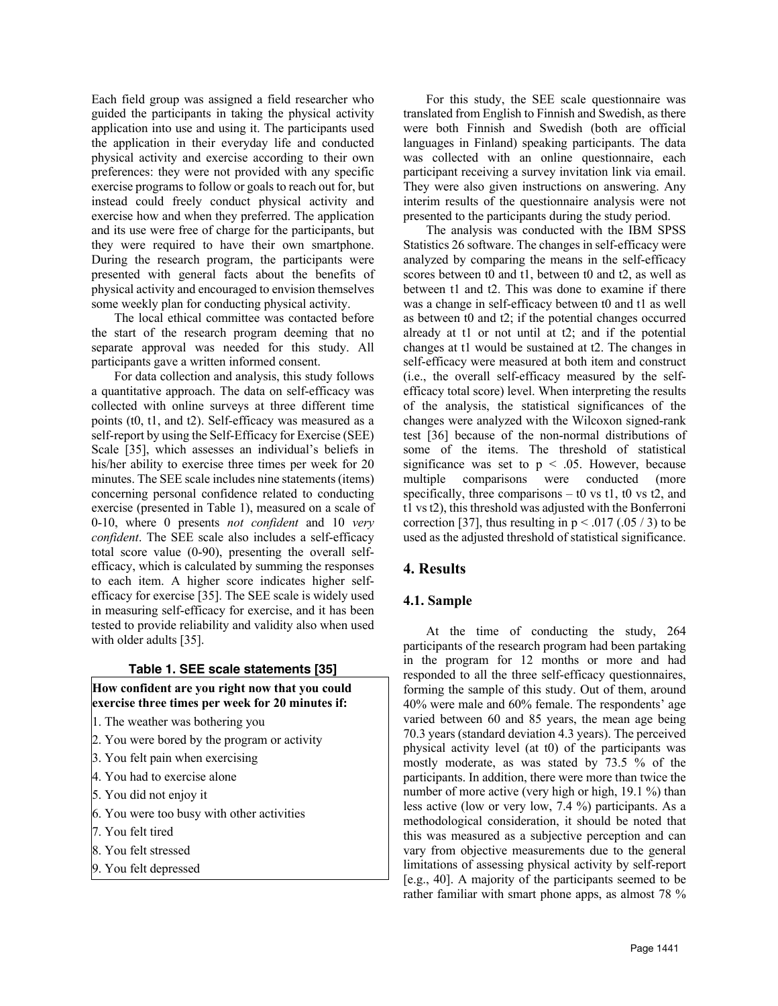Each field group was assigned a field researcher who guided the participants in taking the physical activity application into use and using it. The participants used the application in their everyday life and conducted physical activity and exercise according to their own preferences: they were not provided with any specific exercise programs to follow or goals to reach out for, but instead could freely conduct physical activity and exercise how and when they preferred. The application and its use were free of charge for the participants, but they were required to have their own smartphone. During the research program, the participants were presented with general facts about the benefits of physical activity and encouraged to envision themselves some weekly plan for conducting physical activity.

The local ethical committee was contacted before the start of the research program deeming that no separate approval was needed for this study. All participants gave a written informed consent.

For data collection and analysis, this study follows a quantitative approach. The data on self-efficacy was collected with online surveys at three different time points (t0, t1, and t2). Self-efficacy was measured as a self-report by using the Self-Efficacy for Exercise (SEE) Scale [35], which assesses an individual's beliefs in his/her ability to exercise three times per week for 20 minutes. The SEE scale includes nine statements (items) concerning personal confidence related to conducting exercise (presented in Table 1), measured on a scale of 0-10, where 0 presents *not confident* and 10 *very confident*. The SEE scale also includes a self-efficacy total score value (0-90), presenting the overall selfefficacy, which is calculated by summing the responses to each item. A higher score indicates higher selfefficacy for exercise [35]. The SEE scale is widely used in measuring self-efficacy for exercise, and it has been tested to provide reliability and validity also when used with older adults [35].

#### **Table 1. SEE scale statements [35]**

#### **How confident are you right now that you could exercise three times per week for 20 minutes if:**

- 1. The weather was bothering you
- 2. You were bored by the program or activity
- 3. You felt pain when exercising
- 4. You had to exercise alone
- 5. You did not enjoy it
- 6. You were too busy with other activities
- 7. You felt tired
- 8. You felt stressed
- 9. You felt depressed

For this study, the SEE scale questionnaire was translated from English to Finnish and Swedish, as there were both Finnish and Swedish (both are official languages in Finland) speaking participants. The data was collected with an online questionnaire, each participant receiving a survey invitation link via email. They were also given instructions on answering. Any interim results of the questionnaire analysis were not presented to the participants during the study period.

The analysis was conducted with the IBM SPSS Statistics 26 software. The changes in self-efficacy were analyzed by comparing the means in the self-efficacy scores between t0 and t1, between t0 and t2, as well as between t1 and t2. This was done to examine if there was a change in self-efficacy between t0 and t1 as well as between t0 and t2; if the potential changes occurred already at t1 or not until at t2; and if the potential changes at t1 would be sustained at t2. The changes in self-efficacy were measured at both item and construct (i.e., the overall self-efficacy measured by the selfefficacy total score) level. When interpreting the results of the analysis, the statistical significances of the changes were analyzed with the Wilcoxon signed-rank test [36] because of the non-normal distributions of some of the items. The threshold of statistical significance was set to  $p < .05$ . However, because multiple comparisons were conducted (more specifically, three comparisons  $-$  t0 vs t1, t0 vs t2, and t1 vs t2), this threshold was adjusted with the Bonferroni correction [37], thus resulting in  $p < .017(.05/3)$  to be used as the adjusted threshold of statistical significance.

### **4. Results**

#### **4.1. Sample**

At the time of conducting the study, 264 participants of the research program had been partaking in the program for 12 months or more and had responded to all the three self-efficacy questionnaires, forming the sample of this study. Out of them, around 40% were male and 60% female. The respondents' age varied between 60 and 85 years, the mean age being 70.3 years (standard deviation 4.3 years). The perceived physical activity level (at t0) of the participants was mostly moderate, as was stated by 73.5 % of the participants. In addition, there were more than twice the number of more active (very high or high, 19.1 %) than less active (low or very low, 7.4 %) participants. As a methodological consideration, it should be noted that this was measured as a subjective perception and can vary from objective measurements due to the general limitations of assessing physical activity by self-report [e.g., 40]. A majority of the participants seemed to be rather familiar with smart phone apps, as almost 78 %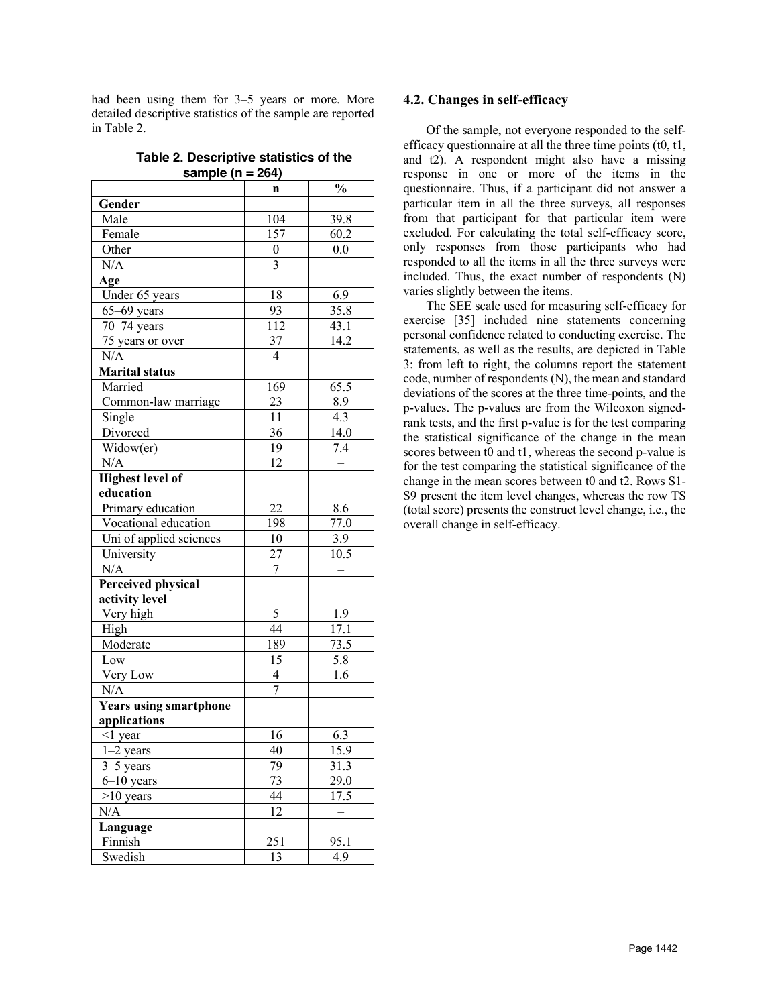had been using them for 3–5 years or more. More detailed descriptive statistics of the sample are reported in Table 2.

**Table 2. Descriptive statistics of the sample (n = 264)**

|                               | n                       | $\frac{0}{0}$ |
|-------------------------------|-------------------------|---------------|
| Gender                        |                         |               |
| Male                          | 104                     | 39.8          |
| Female                        | 157                     | 60.2          |
| Other                         | $\boldsymbol{0}$        | 0.0           |
| N/A                           | 3                       |               |
| Age                           |                         |               |
| Under 65 years                | 18                      | 6.9           |
| $65-69$ years                 | 93                      | 35.8          |
| $70-74$ years                 | 112                     | 43.1          |
| 75 years or over              | 37                      | 14.2          |
| N/A                           | 4                       |               |
| <b>Marital status</b>         |                         |               |
| Married                       | 169                     | 65.5          |
| Common-law marriage           | 23                      | 8.9           |
| Single                        | 11                      | 4.3           |
| Divorced                      | 36                      | 14.0          |
| Widow(er)                     | 19                      | 7.4           |
| N/A                           | 12                      |               |
| <b>Highest level of</b>       |                         |               |
| education                     |                         |               |
| Primary education             | 22                      | 8.6           |
| Vocational education          | 198                     | 77.0          |
| Uni of applied sciences       | 10                      | 3.9           |
| University                    | 27                      | 10.5          |
| N/A                           | 7                       |               |
| <b>Perceived physical</b>     |                         |               |
| activity level                |                         |               |
| Very high                     | 5                       | 1.9           |
| High                          | 44                      | 17.1          |
| Moderate                      | 189                     | 73.5          |
| Low                           | 15                      | 5.8           |
| Very Low                      | $\overline{\mathbf{4}}$ | 1.6           |
| N/A                           | 7                       |               |
| <b>Years using smartphone</b> |                         |               |
| applications                  |                         |               |
| $<$ 1 year                    | 16                      | 6.3           |
| $1-2$ years                   | 40                      | 15.9          |
| $3-5$ years                   | 79                      | 31.3          |
| $6 - 10$ years                | 73                      | 29.0          |
| $>10$ years                   | 44                      | 17.5          |
| N/A                           | 12                      |               |
| Language                      |                         |               |
| Finnish                       | 251                     | 95.1          |
| Swedish                       | 13                      | 4.9           |

#### **4.2. Changes in self-efficacy**

Of the sample, not everyone responded to the selfefficacy questionnaire at all the three time points (t0, t1, and t2). A respondent might also have a missing response in one or more of the items in the questionnaire. Thus, if a participant did not answer a particular item in all the three surveys, all responses from that participant for that particular item were excluded. For calculating the total self-efficacy score, only responses from those participants who had responded to all the items in all the three surveys were included. Thus, the exact number of respondents (N) varies slightly between the items.

The SEE scale used for measuring self-efficacy for exercise [35] included nine statements concerning personal confidence related to conducting exercise. The statements, as well as the results, are depicted in Table 3: from left to right, the columns report the statement code, number of respondents (N), the mean and standard deviations of the scores at the three time-points, and the p-values. The p-values are from the Wilcoxon signedrank tests, and the first p-value is for the test comparing the statistical significance of the change in the mean scores between t0 and t1, whereas the second p-value is for the test comparing the statistical significance of the change in the mean scores between t0 and t2. Rows S1- S9 present the item level changes, whereas the row TS (total score) presents the construct level change, i.e., the overall change in self-efficacy.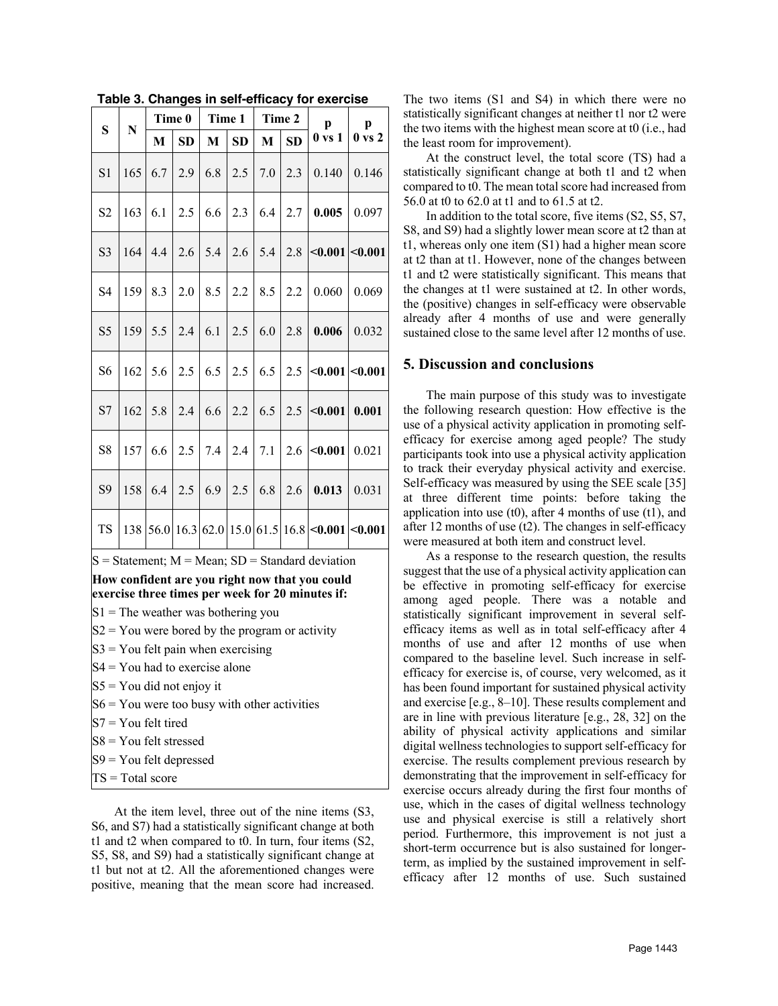**Table 3. Changes in self-efficacy for exercise**

At the item level, three out of the nine items (S3, S6, and S7) had a statistically significant change at both t1 and t2 when compared to t0. In turn, four items (S2, S5, S8, and S9) had a statistically significant change at t1 but not at t2. All the aforementioned changes were positive, meaning that the mean score had increased.

 $TS = Total score$ 

The two items (S1 and S4) in which there were no statistically significant changes at neither t1 nor t2 were the two items with the highest mean score at t0 (i.e., had the least room for improvement).

At the construct level, the total score (TS) had a statistically significant change at both t1 and t2 when compared to t0. The mean total score had increased from 56.0 at t0 to 62.0 at t1 and to 61.5 at t2.

In addition to the total score, five items (S2, S5, S7, S8, and S9) had a slightly lower mean score at t2 than at t1, whereas only one item (S1) had a higher mean score at t2 than at t1. However, none of the changes between t1 and t2 were statistically significant. This means that the changes at t1 were sustained at t2. In other words, the (positive) changes in self-efficacy were observable already after 4 months of use and were generally sustained close to the same level after 12 months of use.

# **5. Discussion and conclusions**

The main purpose of this study was to investigate the following research question: How effective is the use of a physical activity application in promoting selfefficacy for exercise among aged people? The study participants took into use a physical activity application to track their everyday physical activity and exercise. Self-efficacy was measured by using the SEE scale [35] at three different time points: before taking the application into use  $(t0)$ , after 4 months of use  $(t1)$ , and after 12 months of use (t2). The changes in self-efficacy were measured at both item and construct level.

As a response to the research question, the results suggest that the use of a physical activity application can be effective in promoting self-efficacy for exercise among aged people. There was a notable and statistically significant improvement in several selfefficacy items as well as in total self-efficacy after 4 months of use and after 12 months of use when compared to the baseline level. Such increase in selfefficacy for exercise is, of course, very welcomed, as it has been found important for sustained physical activity and exercise [e.g., 8–10]. These results complement and are in line with previous literature [e.g., 28, 32] on the ability of physical activity applications and similar digital wellness technologies to support self-efficacy for exercise. The results complement previous research by demonstrating that the improvement in self-efficacy for exercise occurs already during the first four months of use, which in the cases of digital wellness technology use and physical exercise is still a relatively short period. Furthermore, this improvement is not just a short-term occurrence but is also sustained for longerterm, as implied by the sustained improvement in selfefficacy after 12 months of use. Such sustained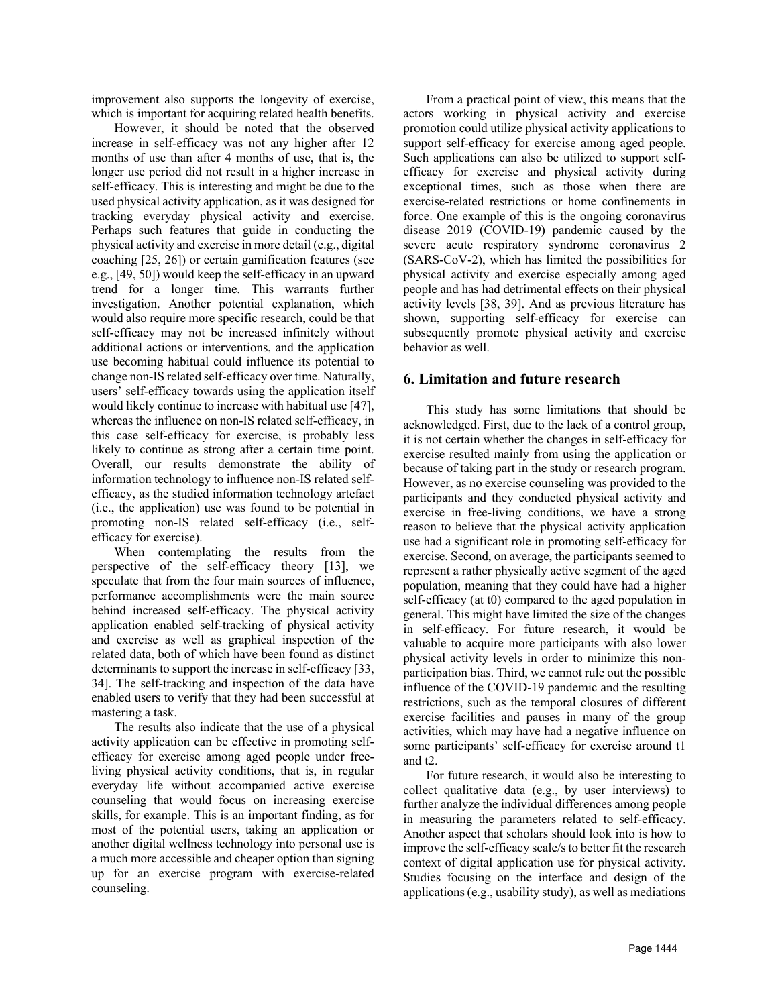improvement also supports the longevity of exercise, which is important for acquiring related health benefits.

However, it should be noted that the observed increase in self-efficacy was not any higher after 12 months of use than after 4 months of use, that is, the longer use period did not result in a higher increase in self-efficacy. This is interesting and might be due to the used physical activity application, as it was designed for tracking everyday physical activity and exercise. Perhaps such features that guide in conducting the physical activity and exercise in more detail (e.g., digital coaching [25, 26]) or certain gamification features (see e.g., [49, 50]) would keep the self-efficacy in an upward trend for a longer time. This warrants further investigation. Another potential explanation, which would also require more specific research, could be that self-efficacy may not be increased infinitely without additional actions or interventions, and the application use becoming habitual could influence its potential to change non-IS related self-efficacy over time. Naturally, users' self-efficacy towards using the application itself would likely continue to increase with habitual use [47], whereas the influence on non-IS related self-efficacy, in this case self-efficacy for exercise, is probably less likely to continue as strong after a certain time point. Overall, our results demonstrate the ability of information technology to influence non-IS related selfefficacy, as the studied information technology artefact (i.e., the application) use was found to be potential in promoting non-IS related self-efficacy (i.e., selfefficacy for exercise).

When contemplating the results from the perspective of the self-efficacy theory [13], we speculate that from the four main sources of influence, performance accomplishments were the main source behind increased self-efficacy. The physical activity application enabled self-tracking of physical activity and exercise as well as graphical inspection of the related data, both of which have been found as distinct determinants to support the increase in self-efficacy [33, 34]. The self-tracking and inspection of the data have enabled users to verify that they had been successful at mastering a task.

The results also indicate that the use of a physical activity application can be effective in promoting selfefficacy for exercise among aged people under freeliving physical activity conditions, that is, in regular everyday life without accompanied active exercise counseling that would focus on increasing exercise skills, for example. This is an important finding, as for most of the potential users, taking an application or another digital wellness technology into personal use is a much more accessible and cheaper option than signing up for an exercise program with exercise-related counseling.

From a practical point of view, this means that the actors working in physical activity and exercise promotion could utilize physical activity applications to support self-efficacy for exercise among aged people. Such applications can also be utilized to support selfefficacy for exercise and physical activity during exceptional times, such as those when there are exercise-related restrictions or home confinements in force. One example of this is the ongoing coronavirus disease 2019 (COVID-19) pandemic caused by the severe acute respiratory syndrome coronavirus 2 (SARS-CoV-2), which has limited the possibilities for physical activity and exercise especially among aged people and has had detrimental effects on their physical activity levels [38, 39]. And as previous literature has shown, supporting self-efficacy for exercise can subsequently promote physical activity and exercise behavior as well.

# **6. Limitation and future research**

This study has some limitations that should be acknowledged. First, due to the lack of a control group, it is not certain whether the changes in self-efficacy for exercise resulted mainly from using the application or because of taking part in the study or research program. However, as no exercise counseling was provided to the participants and they conducted physical activity and exercise in free-living conditions, we have a strong reason to believe that the physical activity application use had a significant role in promoting self-efficacy for exercise. Second, on average, the participants seemed to represent a rather physically active segment of the aged population, meaning that they could have had a higher self-efficacy (at t0) compared to the aged population in general. This might have limited the size of the changes in self-efficacy. For future research, it would be valuable to acquire more participants with also lower physical activity levels in order to minimize this nonparticipation bias. Third, we cannot rule out the possible influence of the COVID-19 pandemic and the resulting restrictions, such as the temporal closures of different exercise facilities and pauses in many of the group activities, which may have had a negative influence on some participants' self-efficacy for exercise around t1 and t2.

For future research, it would also be interesting to collect qualitative data (e.g., by user interviews) to further analyze the individual differences among people in measuring the parameters related to self-efficacy. Another aspect that scholars should look into is how to improve the self-efficacy scale/s to better fit the research context of digital application use for physical activity. Studies focusing on the interface and design of the applications (e.g., usability study), as well as mediations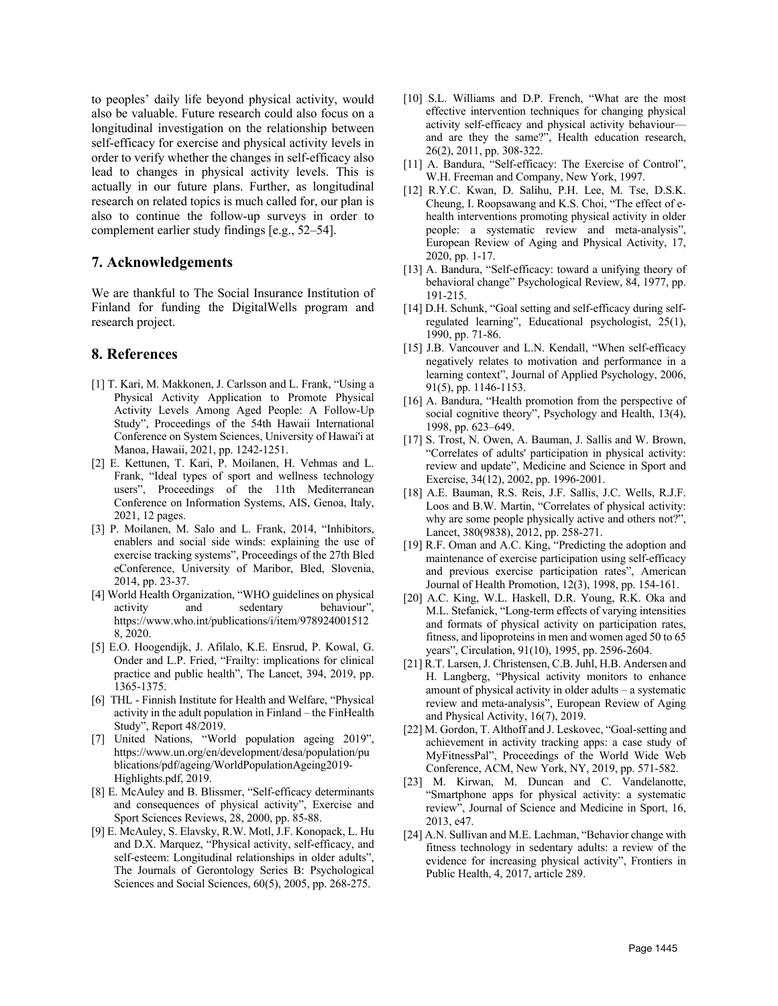to peoples' daily life beyond physical activity, would also be valuable. Future research could also focus on a longitudinal investigation on the relationship between self-efficacy for exercise and physical activity levels in order to verify whether the changes in self-efficacy also lead to changes in physical activity levels. This is actually in our future plans. Further, as longitudinal research on related topics is much called for, our plan is also to continue the follow-up surveys in order to complement earlier study findings [e.g., 52–54].

### **7. Acknowledgements**

We are thankful to The Social Insurance Institution of Finland for funding the DigitalWells program and research project.

### **8. References**

- [1] T. Kari, M. Makkonen, J. Carlsson and L. Frank, "Using a Physical Activity Application to Promote Physical Activity Levels Among Aged People: A Follow-Up Study", Proceedings of the 54th Hawaii International Conference on System Sciences, University of Hawai'i at Manoa, Hawaii, 2021, pp. 1242-1251.
- [2] E. Kettunen, T. Kari, P. Moilanen, H. Vehmas and L. Frank, "Ideal types of sport and wellness technology users", Proceedings of the 11th Mediterranean Conference on Information Systems, AIS, Genoa, Italy, 2021, 12 pages.
- [3] P. Moilanen, M. Salo and L. Frank, 2014, "Inhibitors, enablers and social side winds: explaining the use of exercise tracking systems", Proceedings of the 27th Bled eConference, University of Maribor, Bled, Slovenia, 2014, pp. 23-37.
- [4] World Health Organization, "WHO guidelines on physical activity and sedentary behaviour", https://www.who.int/publications/i/item/978924001512 8, 2020.
- [5] E.O. Hoogendijk, J. Afilalo, K.E. Ensrud, P. Kowal, G. Onder and L.P. Fried, "Frailty: implications for clinical practice and public health", The Lancet, 394, 2019, pp. 1365-1375.
- [6] THL Finnish Institute for Health and Welfare, "Physical activity in the adult population in Finland – the FinHealth Study", Report 48/2019.
- [7] United Nations, "World population ageing 2019", https://www.un.org/en/development/desa/population/pu blications/pdf/ageing/WorldPopulationAgeing2019- Highlights.pdf, 2019.
- [8] E. McAuley and B. Blissmer, "Self-efficacy determinants and consequences of physical activity", Exercise and Sport Sciences Reviews, 28, 2000, pp. 85-88.
- [9] E. McAuley, S. Elavsky, R.W. Motl, J.F. Konopack, L. Hu and D.X. Marquez, "Physical activity, self-efficacy, and self-esteem: Longitudinal relationships in older adults", The Journals of Gerontology Series B: Psychological Sciences and Social Sciences, 60(5), 2005, pp. 268-275.
- [10] S.L. Williams and D.P. French, "What are the most effective intervention techniques for changing physical activity self-efficacy and physical activity behaviour and are they the same?", Health education research, 26(2), 2011, pp. 308-322.
- [11] A. Bandura, "Self-efficacy: The Exercise of Control", W.H. Freeman and Company, New York, 1997.
- [12] R.Y.C. Kwan, D. Salihu, P.H. Lee, M. Tse, D.S.K. Cheung, I. Roopsawang and K.S. Choi, "The effect of ehealth interventions promoting physical activity in older people: a systematic review and meta-analysis", European Review of Aging and Physical Activity, 17, 2020, pp. 1-17.
- [13] A. Bandura, "Self-efficacy: toward a unifying theory of behavioral change" Psychological Review, 84, 1977, pp. 191-215.
- [14] D.H. Schunk, "Goal setting and self-efficacy during selfregulated learning", Educational psychologist, 25(1), 1990, pp. 71-86.
- [15] J.B. Vancouver and L.N. Kendall, "When self-efficacy negatively relates to motivation and performance in a learning context", Journal of Applied Psychology, 2006, 91(5), pp. 1146-1153.
- [16] A. Bandura, "Health promotion from the perspective of social cognitive theory", Psychology and Health, 13(4), 1998, pp. 623–649.
- [17] S. Trost, N. Owen, A. Bauman, J. Sallis and W. Brown, "Correlates of adults' participation in physical activity: review and update", Medicine and Science in Sport and Exercise, 34(12), 2002, pp. 1996-2001.
- [18] A.E. Bauman, R.S. Reis, J.F. Sallis, J.C. Wells, R.J.F. Loos and B.W. Martin, "Correlates of physical activity: why are some people physically active and others not?", Lancet, 380(9838), 2012, pp. 258-271.
- [19] R.F. Oman and A.C. King, "Predicting the adoption and maintenance of exercise participation using self-efficacy and previous exercise participation rates", American Journal of Health Promotion, 12(3), 1998, pp. 154-161.
- [20] A.C. King, W.L. Haskell, D.R. Young, R.K. Oka and M.L. Stefanick, "Long-term effects of varying intensities and formats of physical activity on participation rates, fitness, and lipoproteins in men and women aged 50 to 65 years", Circulation, 91(10), 1995, pp. 2596-2604.
- [21] R.T. Larsen, J. Christensen, C.B. Juhl, H.B. Andersen and H. Langberg, "Physical activity monitors to enhance amount of physical activity in older adults – a systematic review and meta-analysis", European Review of Aging and Physical Activity, 16(7), 2019.
- [22] M. Gordon, T. Althoff and J. Leskovec, "Goal-setting and achievement in activity tracking apps: a case study of MyFitnessPal", Proceedings of the World Wide Web Conference, ACM, New York, NY, 2019, pp. 571-582.
- [23] M. Kirwan, M. Duncan and C. Vandelanotte, "Smartphone apps for physical activity: a systematic review", Journal of Science and Medicine in Sport, 16, 2013, e47.
- [24] A.N. Sullivan and M.E. Lachman, "Behavior change with fitness technology in sedentary adults: a review of the evidence for increasing physical activity", Frontiers in Public Health, 4, 2017, article 289.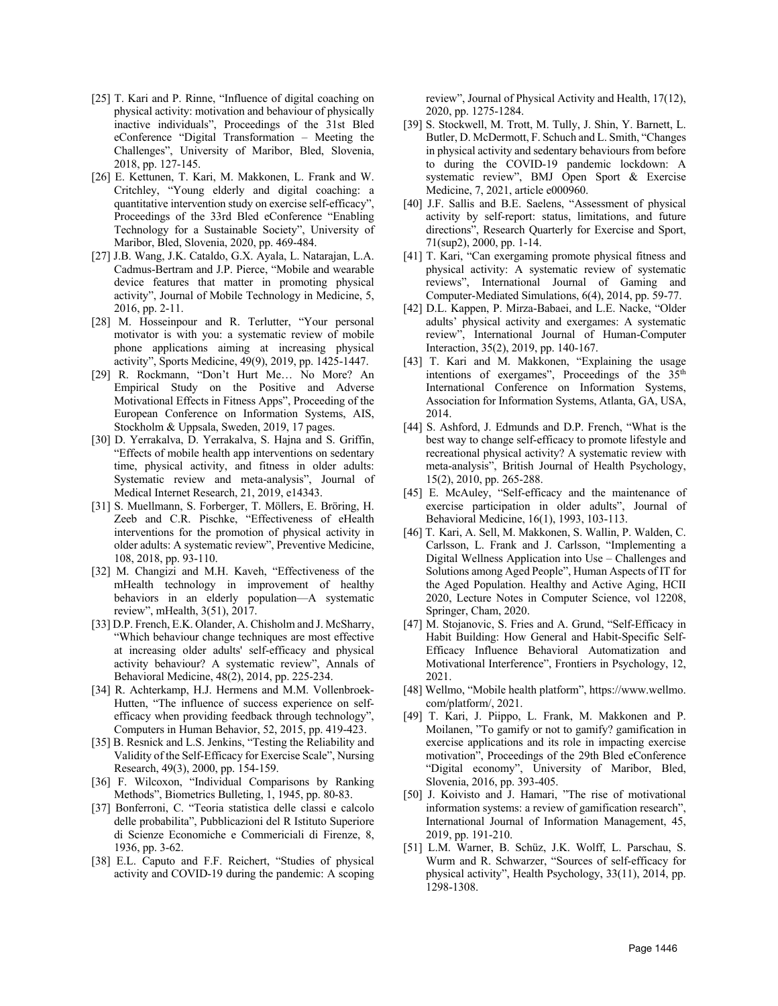- [25] T. Kari and P. Rinne, "Influence of digital coaching on physical activity: motivation and behaviour of physically inactive individuals", Proceedings of the 31st Bled eConference "Digital Transformation – Meeting the Challenges", University of Maribor, Bled, Slovenia, 2018, pp. 127-145.
- [26] E. Kettunen, T. Kari, M. Makkonen, L. Frank and W. Critchley, "Young elderly and digital coaching: a quantitative intervention study on exercise self-efficacy", Proceedings of the 33rd Bled eConference "Enabling Technology for a Sustainable Society", University of Maribor, Bled, Slovenia, 2020, pp. 469-484.
- [27] J.B. Wang, J.K. Cataldo, G.X. Ayala, L. Natarajan, L.A. Cadmus-Bertram and J.P. Pierce, "Mobile and wearable device features that matter in promoting physical activity", Journal of Mobile Technology in Medicine, 5, 2016, pp. 2-11.
- [28] M. Hosseinpour and R. Terlutter, "Your personal motivator is with you: a systematic review of mobile phone applications aiming at increasing physical activity", Sports Medicine, 49(9), 2019, pp. 1425-1447.
- [29] R. Rockmann, "Don't Hurt Me… No More? An Empirical Study on the Positive and Adverse Motivational Effects in Fitness Apps", Proceeding of the European Conference on Information Systems, AIS, Stockholm & Uppsala, Sweden, 2019, 17 pages.
- [30] D. Yerrakalva, D. Yerrakalva, S. Hajna and S. Griffin, "Effects of mobile health app interventions on sedentary time, physical activity, and fitness in older adults: Systematic review and meta-analysis", Journal of Medical Internet Research, 21, 2019, e14343.
- [31] S. Muellmann, S. Forberger, T. Möllers, E. Bröring, H. Zeeb and C.R. Pischke, "Effectiveness of eHealth interventions for the promotion of physical activity in older adults: A systematic review", Preventive Medicine, 108, 2018, pp. 93-110.
- [32] M. Changizi and M.H. Kaveh, "Effectiveness of the mHealth technology in improvement of healthy behaviors in an elderly population—A systematic review", mHealth, 3(51), 2017.
- [33] D.P. French, E.K. Olander, A. Chisholm and J. McSharry, "Which behaviour change techniques are most effective at increasing older adults' self-efficacy and physical activity behaviour? A systematic review", Annals of Behavioral Medicine, 48(2), 2014, pp. 225-234.
- [34] R. Achterkamp, H.J. Hermens and M.M. Vollenbroek-Hutten, "The influence of success experience on selfefficacy when providing feedback through technology", Computers in Human Behavior, 52, 2015, pp. 419-423.
- [35] B. Resnick and L.S. Jenkins, "Testing the Reliability and Validity of the Self-Efficacy for Exercise Scale", Nursing Research, 49(3), 2000, pp. 154-159.
- [36] F. Wilcoxon, "Individual Comparisons by Ranking Methods", Biometrics Bulleting, 1, 1945, pp. 80-83.
- [37] Bonferroni, C. "Teoria statistica delle classi e calcolo delle probabilita", Pubblicazioni del R Istituto Superiore di Scienze Economiche e Commericiali di Firenze, 8, 1936, pp. 3-62.
- [38] E.L. Caputo and F.F. Reichert, "Studies of physical activity and COVID-19 during the pandemic: A scoping

review", Journal of Physical Activity and Health, 17(12), 2020, pp. 1275-1284.

- [39] S. Stockwell, M. Trott, M. Tully, J. Shin, Y. Barnett, L. Butler, D. McDermott, F. Schuch and L. Smith, "Changes in physical activity and sedentary behaviours from before to during the COVID-19 pandemic lockdown: A systematic review", BMJ Open Sport & Exercise Medicine, 7, 2021, article e000960.
- [40] J.F. Sallis and B.E. Saelens, "Assessment of physical activity by self-report: status, limitations, and future directions", Research Quarterly for Exercise and Sport, 71(sup2), 2000, pp. 1-14.
- [41] T. Kari, "Can exergaming promote physical fitness and physical activity: A systematic review of systematic reviews", International Journal of Gaming and Computer-Mediated Simulations, 6(4), 2014, pp. 59-77.
- [42] D.L. Kappen, P. Mirza-Babaei, and L.E. Nacke, "Older adults' physical activity and exergames: A systematic review", International Journal of Human-Computer Interaction, 35(2), 2019, pp. 140-167.
- [43] T. Kari and M. Makkonen, "Explaining the usage intentions of exergames", Proceedings of the 35<sup>th</sup> International Conference on Information Systems, Association for Information Systems, Atlanta, GA, USA, 2014.
- [44] S. Ashford, J. Edmunds and D.P. French, "What is the best way to change self‐efficacy to promote lifestyle and recreational physical activity? A systematic review with meta‐analysis", British Journal of Health Psychology, 15(2), 2010, pp. 265-288.
- [45] E. McAuley, "Self-efficacy and the maintenance of exercise participation in older adults", Journal of Behavioral Medicine, 16(1), 1993, 103-113.
- [46] T. Kari, A. Sell, M. Makkonen, S. Wallin, P. Walden, C. Carlsson, L. Frank and J. Carlsson, "Implementing a Digital Wellness Application into Use – Challenges and Solutions among Aged People", Human Aspects of IT for the Aged Population. Healthy and Active Aging, HCII 2020, Lecture Notes in Computer Science, vol 12208, Springer, Cham, 2020.
- [47] M. Stojanovic, S. Fries and A. Grund, "Self-Efficacy in Habit Building: How General and Habit-Specific Self-Efficacy Influence Behavioral Automatization and Motivational Interference", Frontiers in Psychology, 12, 2021.
- [48] Wellmo, "Mobile health platform", https://www.wellmo. com/platform/, 2021.
- [49] T. Kari, J. Piippo, L. Frank, M. Makkonen and P. Moilanen, "To gamify or not to gamify? gamification in exercise applications and its role in impacting exercise motivation", Proceedings of the 29th Bled eConference "Digital economy", University of Maribor, Bled, Slovenia, 2016, pp. 393-405.
- [50] J. Koivisto and J. Hamari, "The rise of motivational information systems: a review of gamification research", International Journal of Information Management, 45, 2019, pp. 191-210.
- [51] L.M. Warner, B. Schüz, J.K. Wolff, L. Parschau, S. Wurm and R. Schwarzer, "Sources of self-efficacy for physical activity", Health Psychology, 33(11), 2014, pp. 1298-1308.